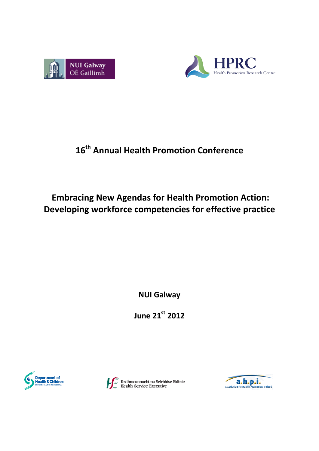



# **16th Annual Health Promotion Conference**

# **Embracing New Agendas for Health Promotion Action: Developing workforce competencies for effective practice**

**NUI Galway**

**June 21st 2012**



Feidhmeannacht na Seirbhíse Sláinte<br>Health Service Executive

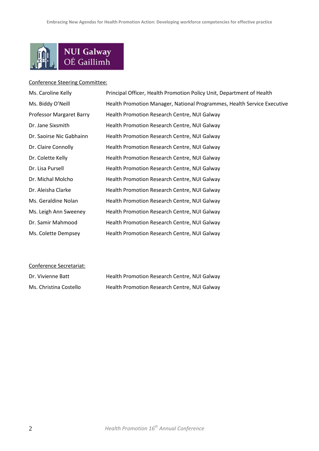

#### Conference Steering Committee:

| Ms. Caroline Kelly              | Principal Officer, Health Promotion Policy Unit, Department of Health   |
|---------------------------------|-------------------------------------------------------------------------|
| Ms. Biddy O'Neill               | Health Promotion Manager, National Programmes, Health Service Executive |
| <b>Professor Margaret Barry</b> | Health Promotion Research Centre, NUI Galway                            |
| Dr. Jane Sixsmith               | Health Promotion Research Centre, NUI Galway                            |
| Dr. Saoirse Nic Gabhainn        | Health Promotion Research Centre, NUI Galway                            |
| Dr. Claire Connolly             | Health Promotion Research Centre, NUI Galway                            |
| Dr. Colette Kelly               | Health Promotion Research Centre, NUI Galway                            |
| Dr. Lisa Pursell                | Health Promotion Research Centre, NUI Galway                            |
| Dr. Michal Molcho               | Health Promotion Research Centre, NUI Galway                            |
| Dr. Aleisha Clarke              | Health Promotion Research Centre, NUI Galway                            |
| Ms. Geraldine Nolan             | Health Promotion Research Centre, NUI Galway                            |
| Ms. Leigh Ann Sweeney           | Health Promotion Research Centre, NUI Galway                            |
| Dr. Samir Mahmood               | Health Promotion Research Centre, NUI Galway                            |
| Ms. Colette Dempsey             | Health Promotion Research Centre, NUI Galway                            |

## Conference Secretariat:

| Dr. Vivienne Batt      | Health Promotion Research Centre, NUI Galway |
|------------------------|----------------------------------------------|
| Ms. Christina Costello | Health Promotion Research Centre, NUI Galway |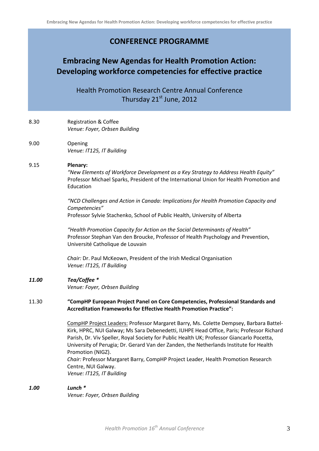## **CONFERENCE PROGRAMME**

## **Embracing New Agendas for Health Promotion Action: Developing workforce competencies for effective practice**

Health Promotion Research Centre Annual Conference Thursday 21<sup>st</sup> June, 2012

### 8.30 Registration & Coffee *Venue: Foyer, Orbsen Building*

9.00 Opening *Venue: IT125, IT Building*

## 9.15 **Plenary:**

*"New Elements of Workforce Development as a Key Strategy to Address Health Equity"* Professor Michael Sparks, President of the International Union for Health Promotion and Education

*"NCD Challenges and Action in Canada: Implications for Health Promotion Capacity and Competencies"* Professor Sylvie Stachenko, School of Public Health, University of Alberta

*"Health Promotion Capacity for Action on the Social Determinants of Health"* Professor Stephan Van den Broucke, Professor of Health Psychology and Prevention, Université Catholique de Louvain

*Chair:* Dr. Paul McKeown, President of the Irish Medical Organisation *Venue: IT125, IT Building*

## *11.00 Tea/Coffee \**

*Venue: Foyer, Orbsen Building*

## 11.30 **"CompHP European Project Panel on Core Competencies, Professional Standards and Accreditation Frameworks for Effective Health Promotion Practice":**

CompHP Project Leaders: Professor Margaret Barry, Ms. Colette Dempsey, Barbara Battel-Kirk, HPRC, NUI Galway; Ms Sara Debenedetti, IUHPE Head Office, Paris; Professor Richard Parish, Dr. Viv Speller, Royal Society for Public Health UK; Professor Giancarlo Pocetta, University of Perugia; Dr. Gerard Van der Zanden, the Netherlands Institute for Health Promotion (NIGZ).

*Chair:* Professor Margaret Barry, CompHP Project Leader, Health Promotion Research Centre, NUI Galway. *Venue: IT125, IT Building*

### *1.00 Lunch \**

*Venue: Foyer, Orbsen Building*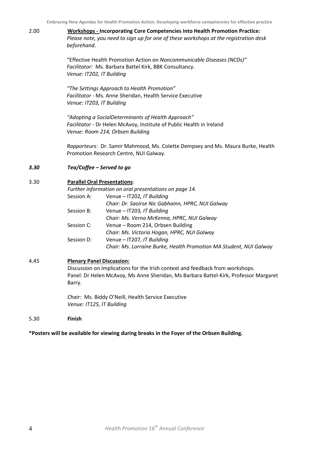2.00 **Workshops - Incorporating Core Competencies into Health Promotion Practice:** *Please note, you need to sign up for one of these workshops at the registration desk beforehand.*

> "Effective Health Promotion Action on *Noncommunicable Diseases (NCDs)" Facilitator:* Ms. Barbara Battel Kirk, BBK Consultancy. *Venue: IT202, IT Building*

*"The Settings Approach to Health Promotion" Facilitator* - Ms. Anne Sheridan, Health Service Executive *Venue: IT203, IT Building*

*"Adopting a SocialDeterminants of Health Approach" Facilitator* - Dr Helen McAvoy, Institute of Public Health in Ireland *Venue: Room 214, Orbsen Building*

*Rapporteurs:* Dr. Samir Mahmood, Ms. Colette Dempsey and Ms. Maura Burke, Health Promotion Research Centre, NUI Galway.

### *3.30 Tea/Coffee – Served to go*

#### 3.30 **Parallel Oral Presentations**:

|            | Further information on oral presentations on page 14.              |
|------------|--------------------------------------------------------------------|
| Session A: | Venue - IT202, IT Building                                         |
|            | Chair: Dr. Saoirse Nic Gabhainn, HPRC, NUI Galway                  |
| Session B: | Venue - IT203, IT Building                                         |
|            | Chair: Ms. Verna McKenna, HPRC, NUI Galway                         |
| Session C: | Venue – Room 214, Orbsen Building                                  |
|            | Chair: Ms. Victoria Hogan, HPRC, NUI Galway                        |
| Session D: | Venue - IT207, IT Building                                         |
|            | Chair: Ms. Lorraine Burke, Health Promotion MA Student, NUI Galway |

### 4.45 **Plenary Panel Discussion:**

Discussion on Implications for the Irish context and feedback from workshops. Panel: Dr Helen McAvoy, Ms Anne Sheridan, Ms Barbara Battel-Kirk, Professor Margaret Barry.

*Chair:* Ms. Biddy O'Neill, Health Service Executive *Venue: IT125, IT Building*

5.30 **Finish**

**\*Posters will be available for viewing during breaks in the Foyer of the Orbsen Building.**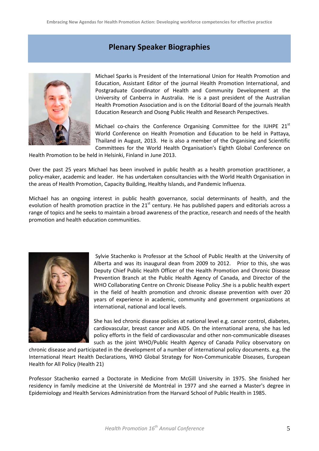## **Plenary Speaker Biographies**



Michael Sparks is President of the International Union for Health Promotion and Education, Assistant Editor of the journal Health Promotion International, and Postgraduate Coordinator of Health and Community Development at the University of Canberra in Australia. He is a past president of the Australian Health Promotion Association and is on the Editorial Board of the journals Health Education Research and Osong Public Health and Research Perspectives.

Michael co-chairs the Conference Organising Committee for the IUHPE  $21<sup>st</sup>$ World Conference on Health Promotion and Education to be held in Pattaya, Thailand in August, 2013. He is also a member of the Organising and Scientific Committees for the World Health Organisation's Eighth Global Conference on

Health Promotion to be held in Helsinki, Finland in June 2013.

Over the past 25 years Michael has been involved in public health as a health promotion practitioner, a policy-maker, academic and leader. He has undertaken consultancies with the World Health Organisation in the areas of Health Promotion, Capacity Building, Healthy Islands, and Pandemic Influenza.

Michael has an ongoing interest in public health governance, social determinants of health, and the evolution of health promotion practice in the 21<sup>st</sup> century. He has published papers and editorials across a range of topics and he seeks to maintain a broad awareness of the practice, research and needs of the health promotion and health education communities.



Sylvie Stachenko is Professor at the School of Public Health at the University of Alberta and was its inaugural dean from 2009 to 2012. Prior to this, she was Deputy Chief Public Health Officer of the Health Promotion and Chronic Disease Prevention Branch at the Public Health Agency of Canada, and Director of the WHO Collaborating Centre on Chronic Disease Policy .She is a public health expert in the field of health promotion and chronic disease prevention with over 20 years of experience in academic, community and government organizations at international, national and local levels.

She has led chronic disease policies at national level e.g. cancer control, diabetes, cardiovascular, breast cancer and AIDS. On the international arena, she has led policy efforts in the field of cardiovascular and other non-communicable diseases such as the joint WHO/Public Health Agency of Canada Policy observatory on

chronic disease and participated in the development of a number of international policy documents. e.g. the International Heart Health Declarations, WHO Global Strategy for Non-Communicable Diseases, European Health for All Policy (Health 21)

Professor Stachenko earned a Doctorate in Medicine from McGill University in 1975. She finished her residency in family medicine at the Université de Montréal in 1977 and she earned a Master's degree in Epidemiology and Health Services Administration from the Harvard School of Public Health in 1985.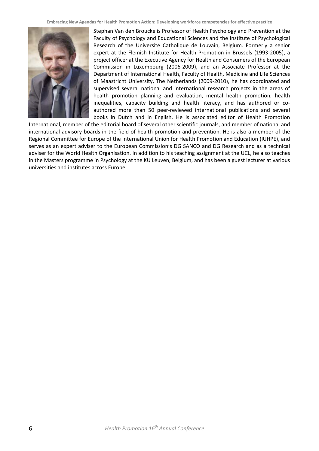

Stephan Van den Broucke is Professor of Health Psychology and Prevention at the Faculty of Psychology and Educational Sciences and the Institute of Psychological Research of the Université Catholique de Louvain, Belgium. Formerly a senior expert at the Flemish Institute for Health Promotion in Brussels (1993-2005), a project officer at the Executive Agency for Health and Consumers of the European Commission in Luxembourg (2006-2009), and an Associate Professor at the Department of International Health, Faculty of Health, Medicine and Life Sciences of Maastricht University, The Netherlands (2009-2010), he has coordinated and supervised several national and international research projects in the areas of health promotion planning and evaluation, mental health promotion, health inequalities, capacity building and health literacy, and has authored or coauthored more than 50 peer-reviewed international publications and several books in Dutch and in English. He is associated editor of Health Promotion

International, member of the editorial board of several other scientific journals, and member of national and international advisory boards in the field of health promotion and prevention. He is also a member of the Regional Committee for Europe of the International Union for Health Promotion and Education (IUHPE), and serves as an expert adviser to the European Commission's DG SANCO and DG Research and as a technical adviser for the World Health Organisation. In addition to his teaching assignment at the UCL, he also teaches in the Masters programme in Psychology at the KU Leuven, Belgium, and has been a guest lecturer at various universities and institutes across Europe.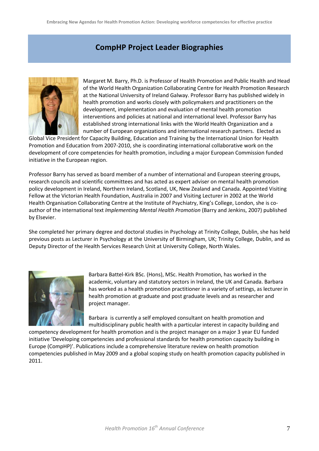## **CompHP Project Leader Biographies**



Margaret M. Barry, Ph.D. is Professor of Health Promotion and Public Health and Head of the World Health Organization Collaborating Centre for Health Promotion Research at the National University of Ireland Galway. Professor Barry has published widely in health promotion and works closely with policymakers and practitioners on the development, implementation and evaluation of mental health promotion interventions and policies at national and international level. Professor Barry has established strong international links with the World Health Organization and a number of European organizations and international research partners. Elected as

Global Vice President for Capacity Building, Education and Training by the International Union for Health Promotion and Education from 2007-2010, she is coordinating international collaborative work on the development of core competencies for health promotion, including a major European Commission funded initiative in the European region.

Professor Barry has served as board member of a number of international and European steering groups, research councils and scientific committees and has acted as expert adviser on mental health promotion policy development in Ireland, Northern Ireland, Scotland, UK, New Zealand and Canada. Appointed Visiting Fellow at the Victorian Health Foundation, Australia in 2007 and Visiting Lecturer in 2002 at the World Health Organisation Collaborating Centre at the Institute of Psychiatry, King's College, London, she is coauthor of the international text *Implementing Mental Health Promotion* (Barry and Jenkins, 2007) published by Elsevier.

She completed her primary degree and doctoral studies in Psychology at Trinity College, Dublin, she has held previous posts as Lecturer in Psychology at the University of Birmingham, UK; Trinity College, Dublin, and as Deputy Director of the Health Services Research Unit at University College, North Wales.



Barbara Battel-Kirk BSc. (Hons), MSc. Health Promotion, has worked in the academic, voluntary and statutory sectors in Ireland, the UK and Canada. Barbara has worked as a health promotion practitioner in a variety of settings, as lecturer in health promotion at graduate and post graduate levels and as researcher and project manager.

Barbara is currently a self employed consultant on health promotion and multidisciplinary public health with a particular interest in capacity building and

competency development for health promotion and is the project manager on a major 3 year EU funded initiative 'Developing competencies and professional standards for health promotion capacity building in Europe (CompHP)'. Publications include a comprehensive literature review on health promotion competencies published in May 2009 and a global scoping study on health promotion capacity published in 2011.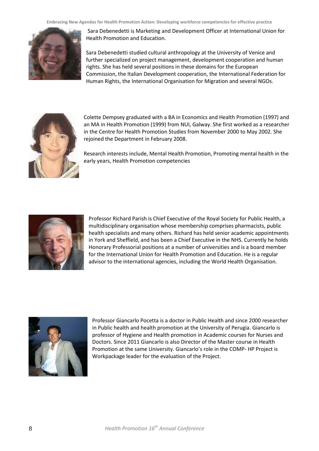

Sara Debenedetti is Marketing and Development Officer at International Union for Health Promotion and Education.

Sara Debenedetti studied cultural anthropology at the University of Venice and further specialized on project management, development cooperation and human rights. She has held several positions in these domains for the European Commission, the Italian Development cooperation, the International Federation for Human Rights, the International Organisation for Migration and several NGOs.



Colette Dempsey graduated with a BA in Economics and Health Promotion (1997) and an MA in Health Promotion (1999) from NUI, Galway. She first worked as a researcher in the Centre for Health Promotion Studies from November 2000 to May 2002. She rejoined the Department in February 2008.

Research interests include, Mental Health Promotion, Promoting mental health in the early years, Health Promotion competencies



Professor Richard Parish is Chief Executive of the Royal Society for Public Health, a multidisciplinary organisation whose membership comprises pharmacists, public health specialists and many others. Richard has held senior academic appointments in York and Sheffield, and has been a Chief Executive in the NHS. Currently he holds Honorary Professorial positions at a number of universities and is a board member for the International Union for Health Promotion and Education. He is a regular advisor to the international agencies, including the World Health Organisation.



Professor Giancarlo Pocetta is a doctor in Public Health and since 2000 researcher in Public health and health promotion at the University of Perugia. Giancarlo is professor of Hygiene and Health promotion in Academic courses for Nurses and Doctors. Since 2011 Giancarlo is also Director of the Master course in Health Promotion at the same University. Giancarlo's role in the COMP- HP Project is Workpackage leader for the evaluation of the Project.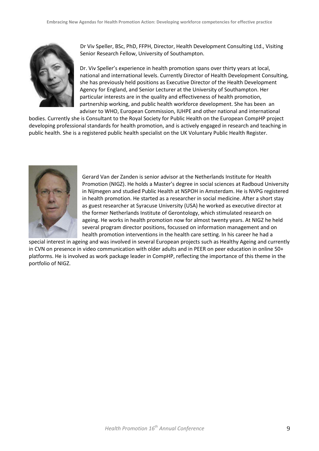

Dr Viv Speller, BSc, PhD, FFPH, Director, Health Development Consulting Ltd., Visiting Senior Research Fellow, University of Southampton.

Dr. Viv Speller's experience in health promotion spans over thirty years at local, national and international levels. Currently Director of Health Development Consulting, she has previously held positions as Executive Director of the Health Development Agency for England, and Senior Lecturer at the University of Southampton. Her particular interests are in the quality and effectiveness of health promotion, partnership working, and public health workforce development. She has been an adviser to WHO, European Commission, IUHPE and other national and international

bodies. Currently she is Consultant to the Royal Society for Public Health on the European CompHP project developing professional standards for health promotion, and is actively engaged in research and teaching in public health. She is a registered public health specialist on the UK Voluntary Public Health Register.



Gerard Van der Zanden is senior advisor at the Netherlands Institute for Health Promotion (NIGZ). He holds a Master's degree in social sciences at Radboud University in Nijmegen and studied Public Health at NSPOH in Amsterdam. He is NVPG registered in health promotion. He started as a researcher in social medicine. After a short stay as guest researcher at Syracuse University (USA) he worked as executive director at the former Netherlands Institute of Gerontology, which stimulated research on ageing. He works in health promotion now for almost twenty years. At NIGZ he held several program director positions, focussed on information management and on health promotion interventions in the health care setting. In his career he had a

special interest in ageing and was involved in several European projects such as Healthy Ageing and currently in CVN on presence in video communication with older adults and in PEER on peer education in online 50+ platforms. He is involved as work package leader in CompHP, reflecting the importance of this theme in the portfolio of NIGZ.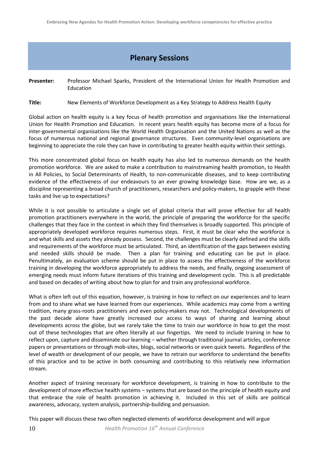## **Plenary Sessions**

**Presenter:** Professor Michael Sparks, President of the International Union for Health Promotion and Education

**Title:** New Elements of Workforce Development as a Key Strategy to Address Health Equity

Global action on health equity is a key focus of health promotion and organisations like the International Union for Health Promotion and Education. In recent years health equity has become more of a focus for inter-governmental organisations like the World Health Organisation and the United Nations as well as the focus of numerous national and regional governance structures. Even community-level organisations are beginning to appreciate the role they can have in contributing to greater health equity within their settings.

This more concentrated global focus on health equity has also led to numerous demands on the health promotion workforce. We are asked to make a contribution to mainstreaming health promotion, to Health in All Policies, to Social Determinants of Health, to non-communicable diseases, and to keep contributing evidence of the effectiveness of our endeavours to an ever growing knowledge base. How are we, as a discipline representing a broad church of practitioners, researchers and policy-makers, to grapple with these tasks and live up to expectations?

While it is not possible to articulate a single set of global criteria that will prove effective for all health promotion practitioners everywhere in the world, the principle of preparing the workforce for the specific challenges that they face in the context in which they find themselves is broadly supported. This principle of appropriately developed workforce requires numerous steps. First, it must be clear who the workforce is and what skills and assets they already possess. Second, the challenges must be clearly defined and the skills and requirements of the workforce must be articulated. Third, an identification of the gaps between existing and needed skills should be made. Then a plan for training and educating can be put in place. Penultimately, an evaluation scheme should be put in place to assess the effectiveness of the workforce training in developing the workforce appropriately to address the needs, and finally, ongoing assessment of emerging needs must inform future iterations of this training and development cycle. This is all predictable and based on decades of writing about how to plan for and train any professional workforce.

What is often left out of this equation, however, is training in how to reflect on our experiences and to learn from and to share what we have learned from our experiences. While academics may come from a writing tradition, many grass-roots practitioners and even policy-makers may not. Technological developments of the past decade alone have greatly increased our access to ways of sharing and learning about developments across the globe, but we rarely take the time to train our workforce in how to get the most out of these technologies that are often literally at our fingertips. We need to include training in how to reflect upon, capture and disseminate our learning – whether through traditional journal articles, conference papers or presentations or through mob-sites, blogs, social networks or even quick tweets. Regardless of the level of wealth or development of our people, we have to retrain our workforce to understand the benefits of this practice and to be active in both consuming and contributing to this relatively new information stream.

Another aspect of training necessary for workforce development, is training in how to contribute to the development of more effective health systems – systems that are based on the principle of health equity and that embrace the role of health promotion in achieving it. Included in this set of skills are political awareness, advocacy, system analysis, partnership-building and persuasion.

This paper will discuss these two often neglected elements of workforce development and will argue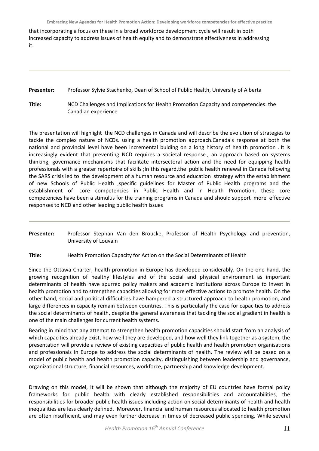that incorporating a focus on these in a broad workforce development cycle will result in both increased capacity to address issues of health equity and to demonstrate effectiveness in addressing it.

## **Presenter:** Professor Sylvie Stachenko, Dean of School of Public Health, University of Alberta

**Title:** NCD Challenges and Implications for Health Promotion Capacity and competencies: the Canadian experience

The presentation will highlight the NCD challenges in Canada and will describe the evolution of strategies to tackle the complex nature of NCDs. using a health promotion approach.Canada's response at both the national and provincial level have been incremental bulding on a long history of health promotion . It is increasingly evident that preventing NCD requires a societal response , an approach based on systems thinking, governance mechanisms that facilitate intersectoral action and the need for equipping health professionals with a greater repertoire of skills ;In this regard,the public health renewal in Canada following the SARS crisis led to the development of a human resource and education strategy with the establishment of new Schools of Public Health ,specific guidelines for Master of Public Health programs and the establishment of core competencies in Public Health and in Health Promotion, these core competencies have been a stimulus for the training programs in Canada and should support more effective responses to NCD and other leading public health issues

- **Presenter:** Professor Stephan Van den Broucke, Professor of Health Psychology and prevention, University of Louvain
- **Title:** Health Promotion Capacity for Action on the Social Determinants of Health

Since the Ottawa Charter, health promotion in Europe has developed considerably. On the one hand, the growing recognition of healthy lifestyles and of the social and physical environment as important determinants of health have spurred policy makers and academic institutions across Europe to invest in health promotion and to strengthen capacities allowing for more effective actions to promote health. On the other hand, social and political difficulties have hampered a structured approach to health promotion, and large differences in capacity remain between countries. This is particularly the case for capacities to address the social determinants of health, despite the general awareness that tackling the social gradient in health is one of the main challenges for current health systems.

Bearing in mind that any attempt to strengthen health promotion capacities should start from an analysis of which capacities already exist, how well they are developed, and how well they link together as a system, the presentation will provide a review of existing capacities of public health and health promotion organisations and professionals in Europe to address the social determinants of health. The review will be based on a model of public health and health promotion capacity, distinguishing between leadership and governance, organizational structure, financial resources, workforce, partnership and knowledge development.

Drawing on this model, it will be shown that although the majority of EU countries have formal policy frameworks for public health with clearly established responsibilities and accountabilities, the responsibilities for broader public health issues including action on social determinants of health and health inequalities are less clearly defined. Moreover, financial and human resources allocated to health promotion are often insufficient, and may even further decrease in times of decreased public spending. While several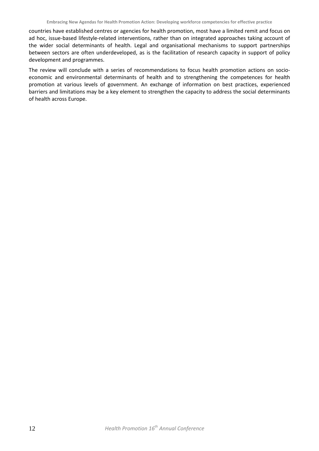countries have established centres or agencies for health promotion, most have a limited remit and focus on ad hoc, issue-based lifestyle-related interventions, rather than on integrated approaches taking account of the wider social determinants of health. Legal and organisational mechanisms to support partnerships between sectors are often underdeveloped, as is the facilitation of research capacity in support of policy development and programmes.

The review will conclude with a series of recommendations to focus health promotion actions on socioeconomic and environmental determinants of health and to strengthening the competences for health promotion at various levels of government. An exchange of information on best practices, experienced barriers and limitations may be a key element to strengthen the capacity to address the social determinants of health across Europe.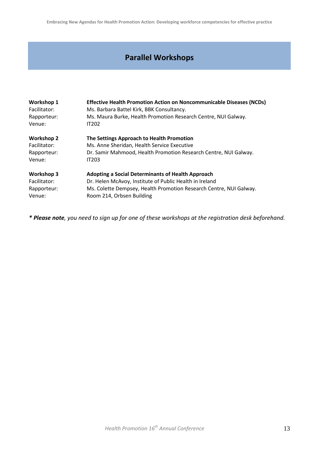## **Parallel Workshops**

| Workshop 1        | <b>Effective Health Promotion Action on Noncommunicable Diseases (NCDs)</b> |
|-------------------|-----------------------------------------------------------------------------|
| Facilitator:      | Ms. Barbara Battel Kirk, BBK Consultancy.                                   |
| Rapporteur:       | Ms. Maura Burke, Health Promotion Research Centre, NUI Galway.              |
| Venue:            | <b>IT202</b>                                                                |
| <b>Workshop 2</b> | The Settings Approach to Health Promotion                                   |
| Facilitator:      | Ms. Anne Sheridan, Health Service Executive                                 |
| Rapporteur:       | Dr. Samir Mahmood, Health Promotion Research Centre, NUI Galway.            |
| Venue:            | <b>IT203</b>                                                                |
| Workshop 3        | <b>Adopting a Social Determinants of Health Approach</b>                    |
| Facilitator:      | Dr. Helen McAvoy, Institute of Public Health in Ireland                     |
| Rapporteur:       | Ms. Colette Dempsey, Health Promotion Research Centre, NUI Galway.          |
| Venue:            | Room 214, Orbsen Building                                                   |

*\* Please note, you need to sign up for one of these workshops at the registration desk beforehand.*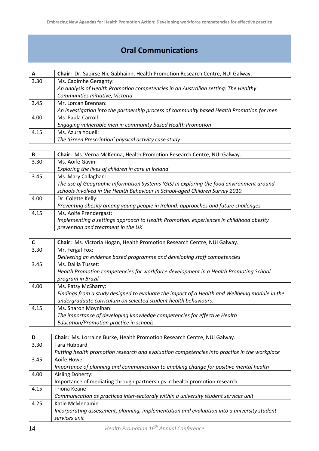## **Oral Communications**

| $\mathbf{A}$ | Chair: Dr. Saoirse Nic Gabhainn, Health Promotion Research Centre, NUI Galway.            |
|--------------|-------------------------------------------------------------------------------------------|
| 3.30         | Ms. Caoimhe Geraghty:                                                                     |
|              | An analysis of Health Promotion competencies in an Australian setting: The Healthy        |
|              | Communities Initiative, Victoria                                                          |
| 3.45         | Mr. Lorcan Brennan:                                                                       |
|              | An investigation into the partnership process of community based Health Promotion for men |
| 4.00         | Ms. Paula Carroll:                                                                        |
|              | Engaging vulnerable men in community based Health Promotion                               |
| 4.15         | Ms. Azura Youell:                                                                         |
|              | The 'Green Prescription' physical activity case study                                     |

| B    | Chair: Ms. Verna McKenna, Health Promotion Research Centre, NUI Galway.                  |
|------|------------------------------------------------------------------------------------------|
| 3.30 | Ms. Aoife Gavin:                                                                         |
|      | Exploring the lives of children in care in Ireland                                       |
| 3.45 | Ms. Mary Callaghan:                                                                      |
|      | The use of Geographic Information Systems (GIS) in exploring the food environment around |
|      | schools Involved in the Health Behaviour in School-aged Children Survey 2010.            |
| 4.00 | Dr. Colette Kelly:                                                                       |
|      | Preventing obesity among young people in Ireland: approaches and future challenges       |
| 4.15 | Ms. Aoife Prendergast:                                                                   |
|      | Implementing a settings approach to Health Promotion: experiences in childhood obesity   |
|      | prevention and treatment in the UK                                                       |

| $\mathbf{C}$ | Chair: Ms. Victoria Hogan, Health Promotion Research Centre, NUI Galway.                      |
|--------------|-----------------------------------------------------------------------------------------------|
| 3.30         | Mr. Fergal Fox:                                                                               |
|              | Delivering an evidence based programme and developing staff competencies                      |
| 3.45         | Ms. Dalila Tusset:                                                                            |
|              | Health Promotion competencies for workforce development in a Health Promoting School          |
|              | program in Brazil                                                                             |
| 4.00         | Ms. Patsy McSharry:                                                                           |
|              | Findings from a study designed to evaluate the impact of a Health and Wellbeing module in the |
|              | undergraduate curriculum on selected student health behaviours.                               |
| 4.15         | Ms. Sharon Moynihan:                                                                          |
|              | The importance of developing knowledge competencies for effective Health                      |
|              | Education/Promotion practice in schools                                                       |

| D    | Chair: Ms. Lorraine Burke, Health Promotion Research Centre, NUI Galway.                     |
|------|----------------------------------------------------------------------------------------------|
| 3.30 | Tara Hubbard                                                                                 |
|      | Putting health promotion research and evaluation competencies into practice in the workplace |
| 3.45 | Aoife Howe                                                                                   |
|      | Importance of planning and communication to enabling change for positive mental health       |
| 4.00 | Aisling Doherty:                                                                             |
|      | Importance of mediating through partnerships in health promotion research                    |
| 4.15 | Triona Keane                                                                                 |
|      | Communication as practiced inter-sectoraly within a university student services unit         |
| 4.25 | Katie McMenamin                                                                              |
|      | Incorporating assessment, planning, implementation and evaluation into a university student  |
|      | services unit                                                                                |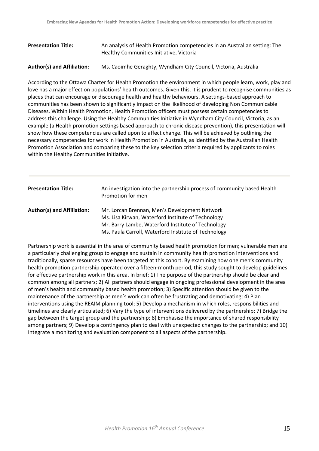## **Presentation Title:** An analysis of Health Promotion competencies in an Australian setting: The Healthy Communities Initiative, Victoria

### **Author(s) and Affiliation:** Ms. Caoimhe Geraghty, Wyndham City Council, Victoria, Australia

According to the Ottawa Charter for Health Promotion the environment in which people learn, work, play and love has a major effect on populations' health outcomes. Given this, it is prudent to recognise communities as places that can encourage or discourage health and healthy behaviours. A settings-based approach to communities has been shown to significantly impact on the likelihood of developing Non Communicable Diseases. Within Health Promotion, Health Promotion officers must possess certain competencies to address this challenge. Using the Healthy Communities Initiative in Wyndham City Council, Victoria, as an example (a Health promotion settings based approach to chronic disease prevention), this presentation will show how these competencies are called upon to affect change. This will be achieved by outlining the necessary competencies for work in Health Promotion in Australia, as identified by the Australian Health Promotion Association and comparing these to the key selection criteria required by applicants to roles within the Healthy Communities Initiative.

| <b>Presentation Title:</b>        | An investigation into the partnership process of community based Health<br>Promotion for men                                                                                                                      |
|-----------------------------------|-------------------------------------------------------------------------------------------------------------------------------------------------------------------------------------------------------------------|
| <b>Author(s) and Affiliation:</b> | Mr. Lorcan Brennan, Men's Development Network<br>Ms. Lisa Kirwan, Waterford Institute of Technology<br>Mr. Barry Lambe, Waterford Institute of Technology<br>Ms. Paula Carroll, Waterford Institute of Technology |

Partnership work is essential in the area of community based health promotion for men; vulnerable men are a particularly challenging group to engage and sustain in community health promotion interventions and traditionally, sparse resources have been targeted at this cohort. By examining how one men's community health promotion partnership operated over a fifteen-month period, this study sought to develop guidelines for effective partnership work in this area. In brief; 1) The purpose of the partnership should be clear and common among all partners; 2) All partners should engage in ongoing professional development in the area of men's health and community based health promotion; 3) Specific attention should be given to the maintenance of the partnership as men's work can often be frustrating and demotivating; 4) Plan interventions using the REAIM planning tool; 5) Develop a mechanism in which roles, responsibilities and timelines are clearly articulated; 6) Vary the type of interventions delivered by the partnership; 7) Bridge the gap between the target group and the partnership; 8) Emphasise the importance of shared responsibility among partners; 9) Develop a contingency plan to deal with unexpected changes to the partnership; and 10) Integrate a monitoring and evaluation component to all aspects of the partnership.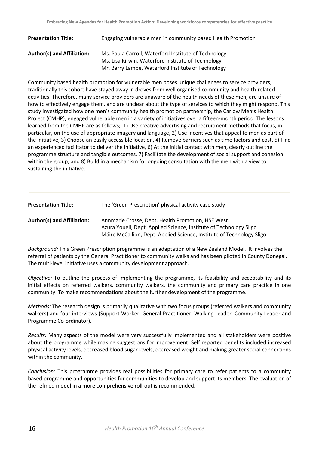| <b>Presentation Title:</b>        | Engaging vulnerable men in community based Health Promotion                                                |
|-----------------------------------|------------------------------------------------------------------------------------------------------------|
| <b>Author(s) and Affiliation:</b> | Ms. Paula Carroll, Waterford Institute of Technology<br>Ms. Lisa Kirwin, Waterford Institute of Technology |
|                                   | Mr. Barry Lambe, Waterford Institute of Technology                                                         |

Community based health promotion for vulnerable men poses unique challenges to service providers; traditionally this cohort have stayed away in droves from well organised community and health-related activities. Therefore, many service providers are unaware of the health needs of these men, are unsure of how to effectively engage them, and are unclear about the type of services to which they might respond. This study investigated how one men's community health promotion partnership, the Carlow Men's Health Project (CMHP), engaged vulnerable men in a variety of initiatives over a fifteen-month period. The lessons learned from the CMHP are as follows; 1) Use creative advertising and recruitment methods that focus, in particular, on the use of appropriate imagery and language, 2) Use incentives that appeal to men as part of the initiative, 3) Choose an easily accessible location, 4) Remove barriers such as time factors and cost, 5) Find an experienced facilitator to deliver the initiative, 6) At the initial contact with men, clearly outline the programme structure and tangible outcomes, 7) Facilitate the development of social support and cohesion within the group, and 8) Build in a mechanism for ongoing consultation with the men with a view to sustaining the initiative.

| <b>Presentation Title:</b> | The 'Green Prescription' physical activity case study                                                                                                                                              |
|----------------------------|----------------------------------------------------------------------------------------------------------------------------------------------------------------------------------------------------|
| Author(s) and Affiliation: | Annmarie Crosse, Dept. Health Promotion, HSE West.<br>Azura Youell, Dept. Applied Science, Institute of Technology Sligo<br>Máire McCallion, Dept. Applied Science, Institute of Technology Sligo. |

*Background:* This Green Prescription programme is an adaptation of a New Zealand Model. It involves the referral of patients by the General Practitioner to community walks and has been piloted in County Donegal. The multi-level initiative uses a community development approach.

*Objective:* To outline the process of implementing the programme, its feasibility and acceptability and its initial effects on referred walkers, community walkers, the community and primary care practice in one community. To make recommendations about the further development of the programme.

*Methods:* The research design is primarily qualitative with two focus groups (referred walkers and community walkers) and four interviews (Support Worker, General Practitioner, Walking Leader, Community Leader and Programme Co-ordinator).

*Results:* Many aspects of the model were very successfully implemented and all stakeholders were positive about the programme while making suggestions for improvement. Self reported benefits included increased physical activity levels, decreased blood sugar levels, decreased weight and making greater social connections within the community.

*Conclusion:* This programme provides real possibilities for primary care to refer patients to a community based programme and opportunities for communities to develop and support its members. The evaluation of the refined model in a more comprehensive roll-out is recommended.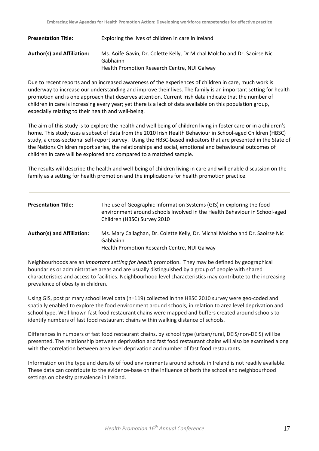| <b>Presentation Title:</b> | Exploring the lives of children in care in Ireland                                   |
|----------------------------|--------------------------------------------------------------------------------------|
| Author(s) and Affiliation: | Ms. Aoife Gavin, Dr. Colette Kelly, Dr Michal Molcho and Dr. Saoirse Nic<br>Gabhainn |
|                            | Health Promotion Research Centre, NUI Galway                                         |

Due to recent reports and an increased awareness of the experiences of children in care, much work is underway to increase our understanding and improve their lives. The family is an important setting for health promotion and is one approach that deserves attention. Current Irish data indicate that the number of children in care is increasing every year; yet there is a lack of data available on this population group, especially relating to their health and well-being.

The aim of this study is to explore the health and well being of children living in foster care or in a children's home. This study uses a subset of data from the 2010 Irish Health Behaviour in School-aged Children (HBSC) study, a cross-sectional self-report survey. Using the HBSC-based indicators that are presented in the State of the Nations Children report series, the relationships and social, emotional and behavioural outcomes of children in care will be explored and compared to a matched sample.

The results will describe the health and well-being of children living in care and will enable discussion on the family as a setting for health promotion and the implications for health promotion practice.

| <b>Presentation Title:</b>        | The use of Geographic Information Systems (GIS) in exploring the food<br>environment around schools Involved in the Health Behaviour in School-aged<br>Children (HBSC) Survey 2010 |
|-----------------------------------|------------------------------------------------------------------------------------------------------------------------------------------------------------------------------------|
| <b>Author(s) and Affiliation:</b> | Ms. Mary Callaghan, Dr. Colette Kelly, Dr. Michal Molcho and Dr. Saoirse Nic<br>Gabhainn<br>Health Promotion Research Centre, NUI Galway                                           |

Neighbourhoods are an *important setting for health* promotion. They may be defined by geographical boundaries or administrative areas and are usually distinguished by a group of people with shared characteristics and access to facilities. Neighbourhood level characteristics may contribute to the increasing prevalence of obesity in children.

Using GIS, post primary school level data (n=119) collected in the HBSC 2010 survey were geo-coded and spatially enabled to explore the food environment around schools, in relation to area level deprivation and school type. Well known fast food restaurant chains were mapped and buffers created around schools to identify numbers of fast food restaurant chains within walking distance of schools.

Differences in numbers of fast food restaurant chains, by school type (urban/rural, DEIS/non-DEIS) will be presented. The relationship between deprivation and fast food restaurant chains will also be examined along with the correlation between area level deprivation and number of fast food restaurants.

Information on the type and density of food environments around schools in Ireland is not readily available. These data can contribute to the evidence-base on the influence of both the school and neighbourhood settings on obesity prevalence in Ireland.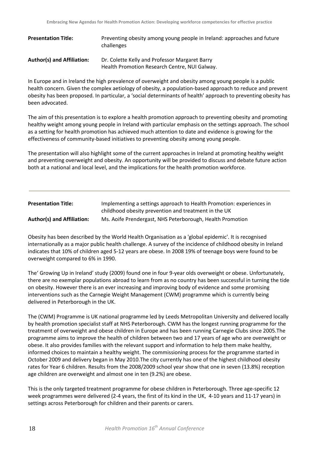| <b>Presentation Title:</b> | Preventing obesity among young people in Ireland: approaches and future<br>challenges           |
|----------------------------|-------------------------------------------------------------------------------------------------|
| Author(s) and Affiliation: | Dr. Colette Kelly and Professor Margaret Barry<br>Health Promotion Research Centre, NUI Galway. |

In Europe and in Ireland the high prevalence of overweight and obesity among young people is a public health concern. Given the complex aetiology of obesity, a population-based approach to reduce and prevent obesity has been proposed. In particular, a 'social determinants of health' approach to preventing obesity has been advocated.

The aim of this presentation is to explore a health promotion approach to preventing obesity and promoting healthy weight among young people in Ireland with particular emphasis on the settings approach. The school as a setting for health promotion has achieved much attention to date and evidence is growing for the effectiveness of community-based initiatives to preventing obesity among young people.

The presentation will also highlight some of the current approaches in Ireland at promoting healthy weight and preventing overweight and obesity. An opportunity will be provided to discuss and debate future action both at a national and local level, and the implications for the health promotion workforce.

| <b>Presentation Title:</b>        | Implementing a settings approach to Health Promotion: experiences in |
|-----------------------------------|----------------------------------------------------------------------|
|                                   | childhood obesity prevention and treatment in the UK                 |
| <b>Author(s) and Affiliation:</b> | Ms. Aoife Prendergast, NHS Peterborough, Health Promotion            |

Obesity has been described by the World Health Organisation as a 'global epidemic'. It is recognised internationally as a major public health challenge. A survey of the incidence of childhood obesity in Ireland indicates that 10% of children aged 5-12 years are obese. In 2008 19% of teenage boys were found to be overweight compared to 6% in 1990.

The' Growing Up in Ireland' study (2009) found one in four 9-year olds overweight or obese. Unfortunately, there are no exemplar populations abroad to learn from as no country has been successful in turning the tide on obesity. However there is an ever increasing and improving body of evidence and some promising interventions such as the Carnegie Weight Management (CWM) programme which is currently being delivered in Peterborough in the UK.

The (CWM) Programme is UK national programme led by Leeds Metropolitan University and delivered locally by health promotion specialist staff at NHS Peterborough. CWM has the longest running programme for the treatment of overweight and obese children in Europe and has been running Carnegie Clubs since 2005.The programme aims to improve the health of children between two and 17 years of age who are overweight or obese. It also provides families with the relevant support and information to help them make healthy, informed choices to maintain a healthy weight. The commissioning process for the programme started in October 2009 and delivery began in May 2010.The city currently has one of the highest childhood obesity rates for Year 6 children. Results from the 2008/2009 school year show that one in seven (13.8%) reception age children are overweight and almost one in ten (9.2%) are obese.

This is the only targeted treatment programme for obese children in Peterborough. Three age-specific 12 week programmes were delivered (2-4 years, the first of its kind in the UK, 4-10 years and 11-17 years) in settings across Peterborough for children and their parents or carers.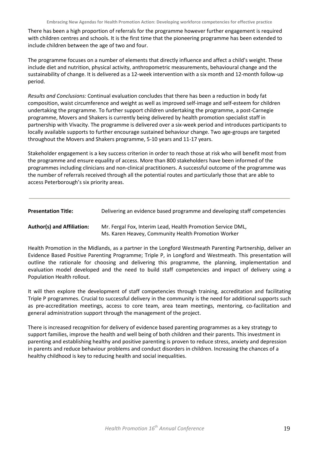There has been a high proportion of referrals for the programme however further engagement is required with children centres and schools. It is the first time that the pioneering programme has been extended to include children between the age of two and four.

The programme focuses on a number of elements that directly influence and affect a child's weight. These include diet and nutrition, physical activity, anthropometric measurements, behavioural change and the sustainability of change. It is delivered as a 12-week intervention with a six month and 12-month follow-up period.

*Results and Conclusions:* Continual evaluation concludes that there has been a reduction in body fat composition, waist circumference and weight as well as improved self-image and self-esteem for children undertaking the programme. To further support children undertaking the programme, a post-Carnegie programme, Movers and Shakers is currently being delivered by health promotion specialist staff in partnership with Vivacity. The programme is delivered over a six-week period and introduces participants to locally available supports to further encourage sustained behaviour change. Two age-groups are targeted throughout the Movers and Shakers programme, 5-10 years and 11-17 years.

Stakeholder engagement is a key success criterion in order to reach those at risk who will benefit most from the programme and ensure equality of access. More than 800 stakeholders have been informed of the programmes including clinicians and non-clinical practitioners. A successful outcome of the programme was the number of referrals received through all the potential routes and particularly those that are able to access Peterborough's six priority areas.

| <b>Presentation Title:</b> |  |  | Delivering an evidence based programme and developing staff competencies |
|----------------------------|--|--|--------------------------------------------------------------------------|
|----------------------------|--|--|--------------------------------------------------------------------------|

**Author(s) and Affiliation:** Mr. Fergal Fox, Interim Lead, Health Promotion Service DML, Ms. Karen Heavey, Community Health Promotion Worker

Health Promotion in the Midlands, as a partner in the Longford Westmeath Parenting Partnership, deliver an Evidence Based Positive Parenting Programme; Triple P, in Longford and Westmeath. This presentation will outline the rationale for choosing and delivering this programme, the planning, implementation and evaluation model developed and the need to build staff competencies and impact of delivery using a Population Health rollout.

It will then explore the development of staff competencies through training, accreditation and facilitating Triple P programmes. Crucial to successful delivery in the community is the need for additional supports such as pre-accreditation meetings, access to core team, area team meetings, mentoring, co-facilitation and general administration support through the management of the project.

There is increased recognition for delivery of evidence based parenting programmes as a key strategy to support families, improve the health and well being of both children and their parents. This investment in parenting and establishing healthy and positive parenting is proven to reduce stress, anxiety and depression in parents and reduce behaviour problems and conduct disorders in children. Increasing the chances of a healthy childhood is key to reducing health and social inequalities.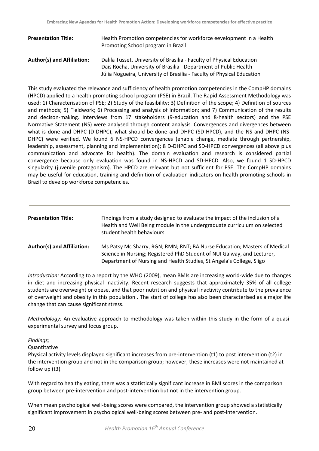| <b>Presentation Title:</b>        | Health Promotion competencies for workforce eevelopment in a Health<br>Promoting School program in Brazil                                 |
|-----------------------------------|-------------------------------------------------------------------------------------------------------------------------------------------|
| <b>Author(s) and Affiliation:</b> | Dalila Tusset, University of Brasilia - Faculty of Physical Education<br>Dais Rocha, University of Brasilia - Department of Public Health |
|                                   | Júlia Nogueira, University of Brasilia - Faculty of Physical Education                                                                    |

This study evaluated the relevance and sufficiency of health promotion competencies in the CompHP domains (HPCD) applied to a health promoting school program (PSE) in Brazil. The Rapid Assessment Methodology was used: 1) Characterisation of PSE; 2) Study of the feasibility; 3) Definition of the scope; 4) Definition of sources and methods; 5) Fieldwork; 6) Processing and analysis of information; and 7) Communication of the results and decison-making. Interviews from 17 stakeholders (9-education and 8-health sectors) and the PSE Normative Statement (NS) were analysed through content analysis. Convergences and divergences between what is done and DHPC (D-DHPC), what should be done and DHPC (SD-HPCD), and the NS and DHPC (NS-DHPC) were verified. We found 6 NS-HPCD convergences (enable change, mediate through partnership, leadership, assessment, planning and implementation); 8 D-DHPC and SD-HPCD convergences (all above plus communication and advocate for health). The domain evaluation and research is considered partial convergence because only evaluation was found in NS-HPCD and SD-HPCD. Also, we found 1 SD-HPCD singularity (juvenile protagonism). The HPCD are relevant but not sufficient for PSE. The CompHP domains may be useful for education, training and definition of evaluation indicators on health promoting schools in Brazil to develop workforce competencies.

| <b>Presentation Title:</b>        | Findings from a study designed to evaluate the impact of the inclusion of a<br>Health and Well Being module in the undergraduate curriculum on selected<br>student health behaviours                                         |
|-----------------------------------|------------------------------------------------------------------------------------------------------------------------------------------------------------------------------------------------------------------------------|
| <b>Author(s) and Affiliation:</b> | Ms Patsy Mc Sharry, RGN; RMN; RNT; BA Nurse Education; Masters of Medical<br>Science in Nursing; Registered PhD Student of NUI Galway, and Lecturer,<br>Department of Nursing and Health Studies, St Angela's College, Sligo |

*Introduction:* According to a report by the WHO (2009), mean BMIs are increasing world-wide due to changes in diet and increasing physical inactivity. Recent research suggests that approximately 35% of all college students are overweight or obese, and that poor nutrition and physical inactivity contribute to the prevalence of overweight and obesity in this population . The start of college has also been characterised as a major life change that can cause significant stress.

*Methodology:* An evaluative approach to methodology was taken within this study in the form of a quasiexperimental survey and focus group.

## *Findings;*

**Quantitative** 

Physical activity levels displayed significant increases from pre-intervention (t1) to post intervention (t2) in the intervention group and not in the comparison group; however, these increases were not maintained at follow up (t3).

With regard to healthy eating, there was a statistically significant increase in BMI scores in the comparison group between pre-intervention and post-intervention but not in the intervention group.

When mean psychological well-being scores were compared, the intervention group showed a statistically significant improvement in psychological well-being scores between pre- and post-intervention.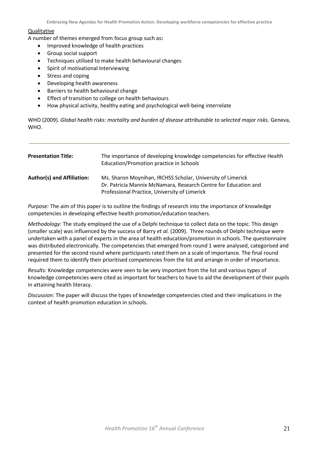## **Qualitative**

A number of themes emerged from focus group such as**:**

- Improved knowledge of health practices
- Group social support
- Techniques utilised to make health behavioural changes
- Spirit of motivational Interviewing
- Stress and coping
- Developing health awareness
- Barriers to health behavioural change
- Effect of transition to college on health behaviours
- How physical activity, healthy eating and psychological well-being interrelate

WHO (2009). *Global health risks: mortality and burden of disease attributable to selected major risks*. Geneva, WHO.

| <b>Presentation Title:</b>        | The importance of developing knowledge competencies for effective Health<br>Education/Promotion practice in Schools                                                             |
|-----------------------------------|---------------------------------------------------------------------------------------------------------------------------------------------------------------------------------|
| <b>Author(s) and Affiliation:</b> | Ms. Sharon Moynihan, IRCHSS Scholar, University of Limerick<br>Dr. Patricia Mannix McNamara, Research Centre for Education and<br>Professional Practice, University of Limerick |

*Purpose:* The aim of this paper is to outline the findings of research into the importance of knowledge competencies in developing effective health promotion/education teachers.

*Methodology:* The study employed the use of a Delphi technique to collect data on the topic. This design (smaller scale) was influenced by the success of Barry *et al.* (2009). Three rounds of Delphi technique were undertaken with a panel of experts in the area of health education/promotion in schools. The questionnaire was distributed electronically. The competencies that emerged from round 1 were analysed, categorised and presented for the second round where participants rated them on a scale of importance. The final round required them to identify their prioritised competencies from the list and arrange in order of importance.

*Results:* Knowledge competencies were seen to be very important from the list and various types of knowledge competencies were cited as important for teachers to have to aid the development of their pupils in attaining health literacy.

*Discussion:* The paper will discuss the types of knowledge competencies cited and their implications in the context of health promotion education in schools.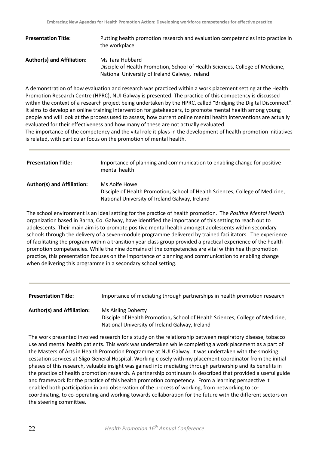| <b>Presentation Title:</b>        | Putting health promotion research and evaluation competencies into practice in<br>the workplace |
|-----------------------------------|-------------------------------------------------------------------------------------------------|
| <b>Author(s) and Affiliation:</b> | Ms Tara Hubbard                                                                                 |
|                                   | Disciple of Health Promotion, School of Health Sciences, College of Medicine,                   |
|                                   | National University of Ireland Galway, Ireland                                                  |

A demonstration of how evaluation and research was practiced within a work placement setting at the Health Promotion Research Centre (HPRC), NUI Galway is presented. The practice of this competency is discussed within the context of a research project being undertaken by the HPRC, called "Bridging the Digital Disconnect". It aims to develop an online training intervention for gatekeepers, to promote mental health among young people and will look at the process used to assess, how current online mental health interventions are actually evaluated for their effectiveness and how many of these are not actually evaluated.

The importance of the competency and the vital role it plays in the development of health promotion initiatives is related, with particular focus on the promotion of mental health.

| <b>Presentation Title:</b>        | Importance of planning and communication to enabling change for positive<br>mental health                                                        |
|-----------------------------------|--------------------------------------------------------------------------------------------------------------------------------------------------|
| <b>Author(s) and Affiliation:</b> | Ms Aoife Howe<br>Disciple of Health Promotion, School of Health Sciences, College of Medicine,<br>National University of Ireland Galway, Ireland |

The school environment is an ideal setting for the practice of health promotion. The *Positive Mental Health* organization based in Barna, Co. Galway, have identified the importance of this setting to reach out to adolescents. Their main aim is to promote positive mental health amongst adolescents within secondary schools through the delivery of a seven-module programme delivered by trained facilitators. The experience of facilitating the program within a transition year class group provided a practical experience of the health promotion competencies. While the nine domains of the competencies are vital within health promotion practice, this presentation focuses on the importance of planning and communication to enabling change when delivering this programme in a secondary school setting.

| <b>Presentation Title:</b> | Importance of mediating through partnerships in health promotion research |
|----------------------------|---------------------------------------------------------------------------|
|----------------------------|---------------------------------------------------------------------------|

**Author(s) and Affiliation:** Ms Aisling Doherty

Disciple of Health Promotion**,** School of Health Sciences, College of Medicine, National University of Ireland Galway, Ireland

The work presented involved research for a study on the relationship between respiratory disease, tobacco use and mental health patients. This work was undertaken while completing a work placement as a part of the Masters of Arts in Health Promotion Programme at NUI Galway. It was undertaken with the smoking cessation services at Sligo General Hospital. Working closely with my placement coordinator from the initial phases of this research, valuable insight was gained into mediating through partnership and its benefits in the practice of health promotion research. A partnership continuum is described that provided a useful guide and framework for the practice of this health promotion competency. From a learning perspective it enabled both participation in and observation of the process of working, from networking to cocoordinating, to co-operating and working towards collaboration for the future with the different sectors on the steering committee.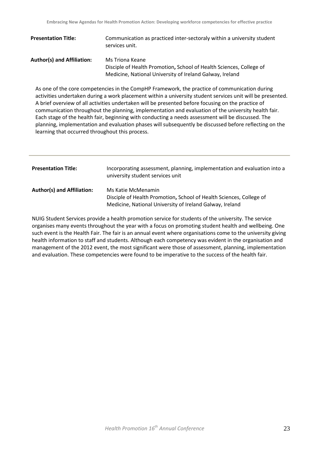| <b>Presentation Title:</b>        | Communication as practiced inter-sectoraly within a university student<br>services unit. |
|-----------------------------------|------------------------------------------------------------------------------------------|
| <b>Author(s) and Affiliation:</b> | Ms Triona Keane<br>Disciple of Health Promotion, School of Health Sciences, College of   |
|                                   | Medicine, National University of Ireland Galway, Ireland                                 |

As one of the core competencies in the CompHP Framework, the practice of communication during activities undertaken during a work placement within a university student services unit will be presented. A brief overview of all activities undertaken will be presented before focusing on the practice of communication throughout the planning, implementation and evaluation of the university health fair. Each stage of the health fair, beginning with conducting a needs assessment will be discussed. The planning, implementation and evaluation phases will subsequently be discussed before reflecting on the learning that occurred throughout this process.

| <b>Presentation Title:</b>        | Incorporating assessment, planning, implementation and evaluation into a<br>university student services unit                                          |
|-----------------------------------|-------------------------------------------------------------------------------------------------------------------------------------------------------|
| <b>Author(s) and Affiliation:</b> | Ms Katie McMenamin<br>Disciple of Health Promotion, School of Health Sciences, College of<br>Medicine, National University of Ireland Galway, Ireland |

NUIG Student Services provide a health promotion service for students of the university. The service organises many events throughout the year with a focus on promoting student health and wellbeing. One such event is the Health Fair. The fair is an annual event where organisations come to the university giving health information to staff and students. Although each competency was evident in the organisation and management of the 2012 event, the most significant were those of assessment, planning, implementation and evaluation. These competencies were found to be imperative to the success of the health fair.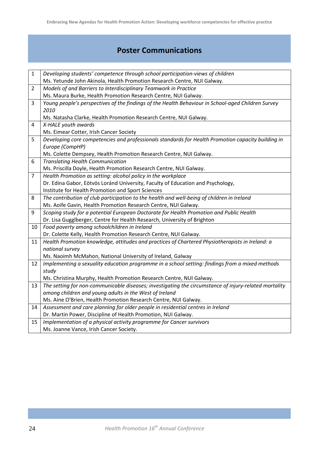## **Poster Communications**

| $\mathbf{1}$   | Developing students' competence through school participation-views of children                        |
|----------------|-------------------------------------------------------------------------------------------------------|
|                | Ms. Yetunde John Akinola, Health Promotion Research Centre, NUI Galway.                               |
| $\overline{2}$ | Models of and Barriers to Interdisciplinary Teamwork in Practice                                      |
|                | Ms. Maura Burke, Health Promotion Research Centre, NUI Galway.                                        |
| $\overline{3}$ | Young people's perspectives of the findings of the Health Behaviour in School-aged Children Survey    |
|                | 2010                                                                                                  |
|                | Ms. Natasha Clarke, Health Promotion Research Centre, NUI Galway.                                     |
| 4              | X-HALE youth awards                                                                                   |
|                | Ms. Eimear Cotter, Irish Cancer Society                                                               |
| 5              | Developing core competencies and professionals standards for Health Promotion capacity building in    |
|                | Europe (CompHP)                                                                                       |
|                | Ms. Colette Dempsey, Health Promotion Research Centre, NUI Galway.                                    |
| 6              | <b>Translating Health Communication</b>                                                               |
|                | Ms. Priscilla Doyle, Health Promotion Research Centre, NUI Galway.                                    |
| $\overline{7}$ | Health Promotion as setting: alcohol policy in the workplace                                          |
|                | Dr. Edina Gabor, Eötvös Loránd University, Faculty of Education and Psychology,                       |
|                | Institute for Health Promotion and Sport Sciences                                                     |
| 8              | The contribution of club participation to the health and well-being of children in Ireland            |
|                | Ms. Aoife Gavin, Health Promotion Research Centre, NUI Galway.                                        |
| 9              | Scoping study for a potential European Doctorate for Health Promotion and Public Health               |
|                | Dr. Lisa Gugglberger, Centre for Health Research, University of Brighton                              |
| 10             | Food poverty among schoolchildren in Ireland                                                          |
|                | Dr. Colette Kelly, Health Promotion Research Centre, NUI Galway.                                      |
| 11             | Health Promotion knowledge, attitudes and practices of Chartered Physiotherapists in Ireland: a       |
|                | national survey                                                                                       |
|                | Ms. Naoimh McMahon, National University of Ireland, Galway                                            |
| 12             | Implementing a sexuality education programme in a school setting: findings from a mixed methods       |
|                | study                                                                                                 |
|                | Ms. Christina Murphy, Health Promotion Research Centre, NUI Galway.                                   |
| 13             | The setting for non-communicable diseases; investigating the circumstance of injury-related mortality |
|                | among children and young adults in the West of Ireland                                                |
|                | Ms. Aine O'Brien, Health Promotion Research Centre, NUI Galway.                                       |
| 14             | Assessment and care planning for older people in residential centres in Ireland                       |
|                | Dr. Martin Power, Discipline of Health Promotion, NUI Galway.                                         |
| 15             | Implementation of a physical activity programme for Cancer survivors                                  |
|                | Ms. Joanne Vance, Irish Cancer Society.                                                               |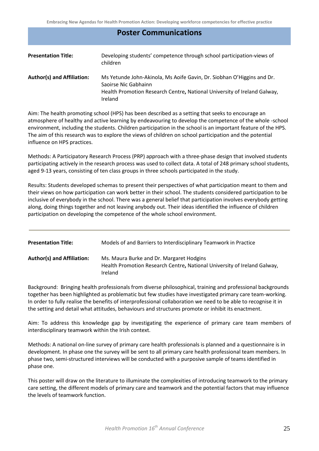## **Poster Communications**

| <b>Presentation Title:</b>        | Developing students' competence through school participation-views of<br>children                                                                                                     |
|-----------------------------------|---------------------------------------------------------------------------------------------------------------------------------------------------------------------------------------|
| <b>Author(s) and Affiliation:</b> | Ms Yetunde John-Akinola, Ms Aoife Gavin, Dr. Siobhan O'Higgins and Dr.<br>Saoirse Nic Gabhainn<br>Health Promotion Research Centre, National University of Ireland Galway,<br>Ireland |

Aim: The health promoting school (HPS) has been described as a setting that seeks to encourage an atmosphere of healthy and active learning by endeavouring to develop the competence of the whole -school environment, including the students. Children participation in the school is an important feature of the HPS. The aim of this research was to explore the views of children on school participation and the potential influence on HPS practices.

Methods: A Participatory Research Process (PRP) approach with a three-phase design that involved students participating actively in the research process was used to collect data. A total of 248 primary school students, aged 9-13 years, consisting of ten class groups in three schools participated in the study.

Results: Students developed schemas to present their perspectives of what participation meant to them and their views on how participation can work better in their school. The students considered participation to be inclusive of everybody in the school. There was a general belief that participation involves everybody getting along, doing things together and not leaving anybody out. Their ideas identified the influence of children participation on developing the competence of the whole school environment.

| <b>Presentation Title:</b>        | Models of and Barriers to Interdisciplinary Teamwork in Practice                                                                |
|-----------------------------------|---------------------------------------------------------------------------------------------------------------------------------|
| <b>Author(s) and Affiliation:</b> | Ms. Maura Burke and Dr. Margaret Hodgins<br>Health Promotion Research Centre, National University of Ireland Galway,<br>Ireland |

Background: Bringing health professionals from diverse philosophical, training and professional backgrounds together has been highlighted as problematic but few studies have investigated primary care team-working. In order to fully realise the benefits of interprofessional collaboration we need to be able to recognise it in the setting and detail what attitudes, behaviours and structures promote or inhibit its enactment.

Aim: To address this knowledge gap by investigating the experience of primary care team members of interdisciplinary teamwork within the Irish context.

Methods: A national on-line survey of primary care health professionals is planned and a questionnaire is in development. In phase one the survey will be sent to all primary care health professional team members. In phase two, semi-structured interviews will be conducted with a purposive sample of teams identified in phase one.

This poster will draw on the literature to illuminate the complexities of introducing teamwork to the primary care setting, the different models of primary care and teamwork and the potential factors that may influence the levels of teamwork function.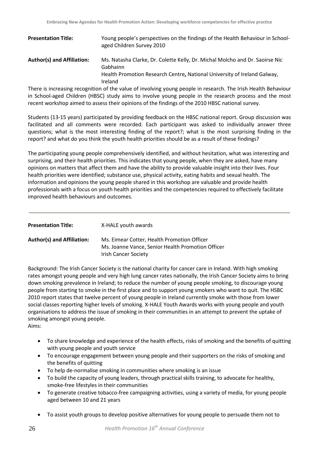| <b>Presentation Title:</b> | Young people's perspectives on the findings of the Health Behaviour in School-<br>aged Children Survey 2010                                                                     |
|----------------------------|---------------------------------------------------------------------------------------------------------------------------------------------------------------------------------|
| Author(s) and Affiliation: | Ms. Natasha Clarke, Dr. Colette Kelly, Dr. Michal Molcho and Dr. Saoirse Nic<br>Gabhainn<br>Health Promotion Research Centre, National University of Ireland Galway,<br>Ireland |

There is increasing recognition of the value of involving young people in research. The Irish Health Behaviour in School-aged Children (HBSC) study aims to involve young people in the research process and the most recent workshop aimed to assess their opinions of the findings of the 2010 HBSC national survey.

Students (13-15 years) participated by providing feedback on the HBSC national report. Group discussion was facilitated and all comments were recorded. Each participant was asked to individually answer three questions; what is the most interesting finding of the report?; what is the most surprising finding in the report? and what do you think the youth health priorities should be as a result of these findings?

The participating young people comprehensively identified, and without hesitation, what was interesting and surprising, and their health priorities. This indicates that young people, when they are asked, have many opinions on matters that affect them and have the ability to provide valuable insight into their lives. Four health priorities were identified; substance use, physical activity, eating habits and sexual health. The information and opinions the young people shared in this workshop are valuable and provide health professionals with a focus on youth health priorities and the competencies required to effectively facilitate improved health behaviours and outcomes.

| <b>Presentation Title:</b>        | X-HALE youth awards                                                                                                             |
|-----------------------------------|---------------------------------------------------------------------------------------------------------------------------------|
| <b>Author(s) and Affiliation:</b> | Ms. Eimear Cotter, Health Promotion Officer<br>Ms. Joanne Vance, Senior Health Promotion Officer<br><b>Irish Cancer Society</b> |

Background: The Irish Cancer Society is the national charity for cancer care in Ireland. With high smoking rates amongst young people and very high lung cancer rates nationally, the Irish Cancer Society aims to bring down smoking prevalence in Ireland; to reduce the number of young people smoking, to discourage young people from starting to smoke in the first place and to support young smokers who want to quit. The HSBC 2010 report states that twelve percent of young people in Ireland currently smoke with those from lower social classes reporting higher levels of smoking. X-HALE Youth Awards works with young people and youth organisations to address the issue of smoking in their communities in an attempt to prevent the uptake of smoking amongst young people.

Aims:

- To share knowledge and experience of the health effects, risks of smoking and the benefits of quitting with young people and youth service
- To encourage engagement between young people and their supporters on the risks of smoking and the benefits of quitting
- To help de-normalise smoking in communities where smoking is an issue
- To build the capacity of young leaders, through practical skills training, to advocate for healthy, smoke-free lifestyles in their communities
- To generate creative tobacco-free campaigning activities, using a variety of media, for young people aged between 10 and 21 years
- To assist youth groups to develop positive alternatives for young people to persuade them not to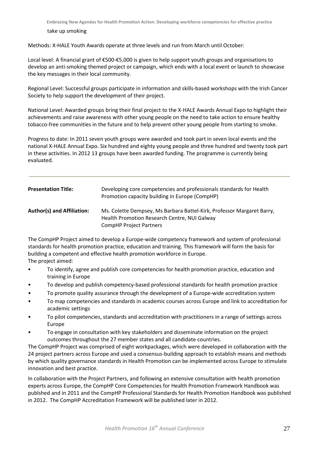#### take up smoking

Methods: X-HALE Youth Awards operate at three levels and run from March until October:

Local level: A financial grant of €500-€5,000 is given to help support youth groups and organisations to develop an anti-smoking themed project or campaign, which ends with a local event or launch to showcase the key messages in their local community.

Regional Level: Successful groups participate in information and skills-based workshops with the Irish Cancer Society to help support the development of their project.

National Level: Awarded groups bring their final project to the X-HALE Awards Annual Expo to highlight their achievements and raise awareness with other young people on the need to take action to ensure healthy tobacco-free communities in the future and to help prevent other young people from starting to smoke.

Progress to date: In 2011 seven youth groups were awarded and took part in seven local events and the national X-HALE Annual Expo. Six hundred and eighty young people and three hundred and twenty took part in these activities. In 2012 13 groups have been awarded funding. The programme is currently being evaluated.

| <b>Presentation Title:</b>        | Developing core competencies and professionals standards for Health<br>Promotion capacity building in Europe (CompHP)                                    |
|-----------------------------------|----------------------------------------------------------------------------------------------------------------------------------------------------------|
| <b>Author(s) and Affiliation:</b> | Ms. Colette Dempsey, Ms Barbara Battel-Kirk, Professor Margaret Barry,<br>Health Promotion Research Centre, NUI Galway<br><b>CompHP Project Partners</b> |

The CompHP Project aimed to develop a Europe-wide competency framework and system of professional standards for health promotion practice, education and training. This framework will form the basis for building a competent and effective health promotion workforce in Europe. The project aimed:

- To identify, agree and publish core competencies for health promotion practice, education and training in Europe
- To develop and publish competency-based professional standards for health promotion practice
- To promote quality assurance through the development of a Europe-wide accreditation system
- To map competencies and standards in academic courses across Europe and link to accreditation for academic settings
- To pilot competencies, standards and accreditation with practitioners in a range of settings across Europe
- To engage in consultation with key stakeholders and disseminate information on the project outcomes throughout the 27 member states and all candidate countries.

The CompHP Project was comprised of eight workpackages, which were developed in collaboration with the 24 project partners across Europe and used a consensus-building approach to establish means and methods by which quality governance standards in Health Promotion can be implemented across Europe to stimulate innovation and best practice.

In collaboration with the Project Partners, and following an extensive consultation with health promotion experts across Europe, the CompHP Core Competencies for Health Promotion Framework Handbook was publshed and in 2011 and the CompHP Professional Standards for Health Promotion Handbook was published in 2012. The CompHP Accreditation Framework will be published later in 2012.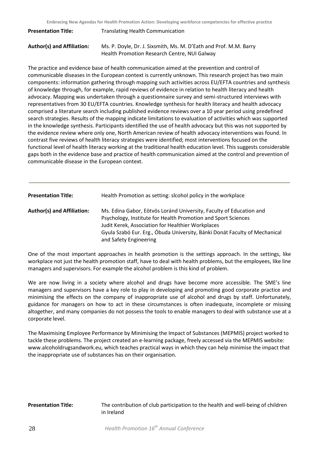| <b>Presentation Title:</b> | <b>Translating Health Communication</b>                                                                           |
|----------------------------|-------------------------------------------------------------------------------------------------------------------|
| Author(s) and Affiliation: | Ms. P. Doyle, Dr. J. Sixsmith, Ms. M. D'Eath and Prof. M.M. Barry<br>Health Promotion Research Centre, NUI Galway |

The practice and evidence base of health communication aimed at the prevention and control of communicable diseases in the European context is currently unknown. This research project has two main components: information gathering through mapping such activities across EU/EFTA countries and synthesis of knowledge through, for example, rapid reviews of evidence in relation to health literacy and health advocacy. Mapping was undertaken through a questionnaire survey and semi-structured interviews with representatives from 30 EU/EFTA countries. Knowledge synthesis for health literacy and health advocacy comprised a literature search including published evidence reviews over a 10 year period using predefined search strategies. Results of the mapping indicate limitations to evaluation of activities which was supported in the knowledge synthesis. Participants identified the use of health advocacy but this was not supported by the evidence review where only one, North American review of health advocacy interventions was found. In contrast five reviews of health literacy strategies were identified; most interventions focused on the functional level of health literacy working at the traditional health education level. This suggests considerable gaps both in the evidence base and practice of health communication aimed at the control and prevention of communicable disease in the European context.

| <b>Presentation Title:</b>        | Health Promotion as setting: slcohol policy in the workplace                                                                                                                                                                                                                                      |
|-----------------------------------|---------------------------------------------------------------------------------------------------------------------------------------------------------------------------------------------------------------------------------------------------------------------------------------------------|
| <b>Author(s) and Affiliation:</b> | Ms. Edina Gabor, Eötvös Loránd University, Faculty of Education and<br>Psychology, Institute for Health Promotion and Sport Sciences<br>Judit Kerek, Association for Healthier Workplaces<br>Gyula Szabó Eur. Erg., Óbuda University, Bánki Donát Faculty of Mechanical<br>and Safety Engineering |

One of the most important approaches in health promotion is the settings approach. In the settings, like workplace not just the health promotion staff, have to deal with health problems, but the employees, like line managers and supervisors. For example the alcohol problem is this kind of problem.

We are now living in a society where alcohol and drugs have become more accessible. The SME's line managers and supervisors have a key role to play in developing and promoting good corporate practice and minimising the effects on the company of inappropriate use of alcohol and drugs by staff. Unfortunately, guidance for managers on how to act in these circumstances is often inadequate, incomplete or missing altogether, and many companies do not possess the tools to enable managers to deal with substance use at a corporate level.

The Maximising Employee Performance by Minimising the Impact of Substances (MEPMIS) project worked to tackle these problems. The project created an e-learning package, freely accessed via the MEPMIS website: www.alcoholdrugsandwork.eu, which teaches practical ways in which they can help minimise the impact that the inappropriate use of substances has on their organisation.

**Presentation Title:** The contribution of club participation to the health and well-being of children in Ireland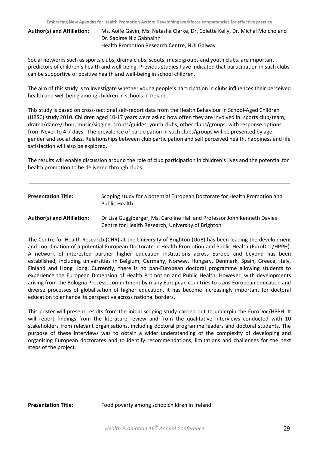**Author(s) and Affiliation:** Ms. Aoife Gavin, Ms. Natasha Clarke, Dr. Colette Kelly, Dr. Michal Molcho and Dr. Saoirse Nic Gabhainn Health Promotion Research Centre, NUI Galway

Social networks such as sports clubs, drama clubs, scouts, music groups and youth clubs, are important predictors of children's health and well-being. Previous studies have indicated that participation in such clubs can be supportive of positive health and well-being in school children.

The aim of this study is to investigate whether young people's participation in clubs influences their perceived health and well being among children in schools in Ireland.

This study is based on cross-sectional self-report data from the Health Behaviour in School-Aged Children (HBSC) study 2010. Children aged 10-17 years were asked how often they are involved in: sports club/team; drama/dance/choir; music/singing; scouts/guides; youth clubs; other clubs/groups, with response options from Never to 4-7 days. The prevalence of participation in such clubs/groups will be presented by age, gender and social class. Relationships between club participation and self perceived health, happiness and life satisfaction will also be explored.

The results will enable discussion around the role of club participation in children's lives and the potential for health promotion to be delivered through clubs.

| <b>Presentation Title:</b>        | Scoping study for a potential European Doctorate for Health Promotion and<br>Public Health                                     |
|-----------------------------------|--------------------------------------------------------------------------------------------------------------------------------|
| <b>Author(s) and Affiliation:</b> | Dr Lisa Gugglberger, Ms. Caroline Hall and Professor John Kenneth Davies<br>Centre for Health Research, University of Brighton |

The Centre for Health Research (CHR) at the University of Brighton (UoB) has been leading the development and coordination of a potential European Doctorate in Health Promotion and Public Health (EuroDoc/HPPH). A network of interested partner higher education institutions across Europe and beyond has been established, including universities in Belgium, Germany, Norway, Hungary, Denmark, Spain, Greece, Italy, Finland and Hong Kong. Currently, there is no pan-European doctoral programme allowing students to experience the European Dimension of Health Promotion and Public Health. However, with developments arising from the Bologna Process, commitment by many European countries to trans-European education and diverse processes of globalisation of higher education, it has become increasingly important for doctoral education to enhance its perspective across national borders.

This poster will present results from the initial scoping study carried out to underpin the EuroDoc/HPPH. It will report findings from the literature review and from the qualitative interviews conducted with 10 stakeholders from relevant organisations, including doctoral programme leaders and doctoral students. The purpose of these interviews was to obtain a wider understanding of the complexity of developing and organising European doctorates and to identify recommendations, limitations and challenges for the next steps of the project.

**Presentation Title:** Food poverty among schoolchildren in Ireland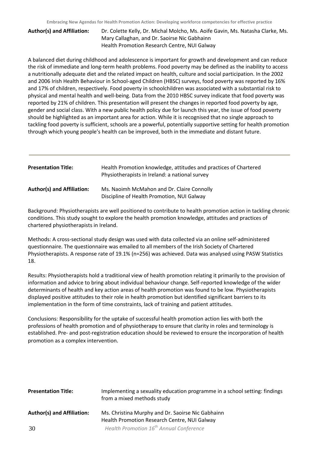**Author(s) and Affiliation:** Dr. Colette Kelly, Dr. Michal Molcho, Ms. Aoife Gavin, Ms. Natasha Clarke, Ms. Mary Callaghan, and Dr. Saoirse Nic Gabhainn Health Promotion Research Centre, NUI Galway

A balanced diet during childhood and adolescence is important for growth and development and can reduce the risk of immediate and long-term health problems. Food poverty may be defined as the inability to access a nutritionally adequate diet and the related impact on health, culture and social participation. In the 2002 and 2006 Irish Health Behaviour in School-aged Children (HBSC) surveys, food poverty was reported by 16% and 17% of children, respectively. Food poverty in schoolchildren was associated with a substantial risk to physical and mental health and well-being. Data from the 2010 HBSC survey indicate that food poverty was reported by 21% of children. This presentation will present the changes in reported food poverty by age, gender and social class. With a new public health policy due for launch this year, the issue of food poverty should be highlighted as an important area for action. While it is recognised that no single approach to tackling food poverty is sufficient, schools are a powerful, potentially supportive setting for health promotion through which young people's health can be improved, both in the immediate and distant future.

| <b>Presentation Title:</b> | Health Promotion knowledge, attitudes and practices of Chartered<br>Physiotherapists in Ireland: a national survey |
|----------------------------|--------------------------------------------------------------------------------------------------------------------|
| Author(s) and Affiliation: | Ms. Naoimh McMahon and Dr. Claire Connolly<br>Discipline of Health Promotion, NUI Galway                           |

Background: Physiotherapists are well positioned to contribute to health promotion action in tackling chronic conditions. This study sought to explore the health promotion knowledge, attitudes and practices of chartered physiotherapists in Ireland.

Methods: A cross-sectional study design was used with data collected via an online self-administered questionnaire. The questionnaire was emailed to all members of the Irish Society of Chartered Physiotherapists. A response rate of 19.1% (n=256) was achieved. Data was analysed using PASW Statistics 18.

Results: Physiotherapists hold a traditional view of health promotion relating it primarily to the provision of information and advice to bring about individual behaviour change. Self-reported knowledge of the wider determinants of health and key action areas of health promotion was found to be low. Physiotherapists displayed positive attitudes to their role in health promotion but identified significant barriers to its implementation in the form of time constraints, lack of training and patient attitudes.

Conclusions: Responsibility for the uptake of successful health promotion action lies with both the professions of health promotion and of physiotherapy to ensure that clarity in roles and terminology is established. Pre- and post-registration education should be reviewed to ensure the incorporation of health promotion as a complex intervention.

| <b>Presentation Title:</b>        | Implementing a sexuality education programme in a school setting: findings<br>from a mixed methods study |
|-----------------------------------|----------------------------------------------------------------------------------------------------------|
| <b>Author(s) and Affiliation:</b> | Ms. Christina Murphy and Dr. Saoirse Nic Gabhainn<br>Health Promotion Research Centre, NUI Galway        |
| 30                                | Health Promotion 16 <sup>th</sup> Annual Conference                                                      |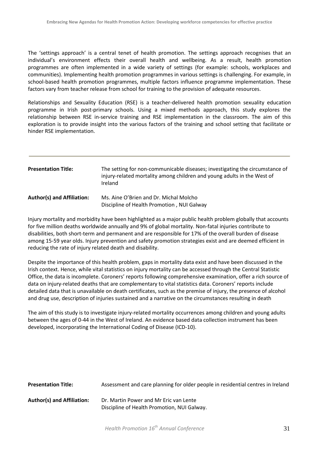The 'settings approach' is a central tenet of health promotion. The settings approach recognises that an individual's environment effects their overall health and wellbeing. As a result, health promotion programmes are often implemented in a wide variety of settings (for example: schools, workplaces and communities). Implementing health promotion programmes in various settings is challenging. For example, in school-based health promotion programmes, multiple factors influence programme implementation. These factors vary from teacher release from school for training to the provision of adequate resources.

Relationships and Sexuality Education (RSE) is a teacher-delivered health promotion sexuality education programme in Irish post-primary schools. Using a mixed methods approach, this study explores the relationship between RSE in-service training and RSE implementation in the classroom. The aim of this exploration is to provide insight into the various factors of the training and school setting that facilitate or hinder RSE implementation.

| <b>Presentation Title:</b>        | The setting for non-communicable diseases; investigating the circumstance of<br>injury-related mortality among children and young adults in the West of<br>Ireland |
|-----------------------------------|--------------------------------------------------------------------------------------------------------------------------------------------------------------------|
| <b>Author(s) and Affiliation:</b> | Ms. Aine O'Brien and Dr. Michal Molcho<br>Discipline of Health Promotion, NUI Galway                                                                               |

Injury mortality and morbidity have been highlighted as a major public health problem globally that accounts for five million deaths worldwide annually and 9% of global mortality. Non-fatal injuries contribute to disabilities, both short-term and permanent and are responsible for 17% of the overall burden of disease among 15-59 year olds. Injury prevention and safety promotion strategies exist and are deemed efficient in reducing the rate of injury related death and disability.

Despite the importance of this health problem, gaps in mortality data exist and have been discussed in the Irish context. Hence, while vital statistics on injury mortality can be accessed through the Central Statistic Office, the data is incomplete. Coroners' reports following comprehensive examination, offer a rich source of data on injury-related deaths that are complementary to vital statistics data. Coroners' reports include detailed data that is unavailable on death certificates, such as the premise of injury, the presence of alcohol and drug use, description of injuries sustained and a narrative on the circumstances resulting in death

The aim of this study is to investigate injury-related mortality occurrences among children and young adults between the ages of 0-44 in the West of Ireland. An evidence based data collection instrument has been developed, incorporating the International Coding of Disease (ICD-10).

| <b>Presentation Title:</b>        | Assessment and care planning for older people in residential centres in Ireland       |
|-----------------------------------|---------------------------------------------------------------------------------------|
| <b>Author(s) and Affiliation:</b> | Dr. Martin Power and Mr Eric van Lente<br>Discipline of Health Promotion, NUI Galway. |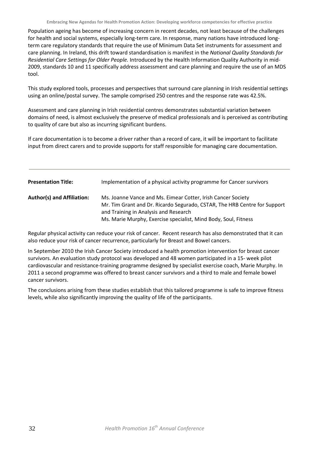Population ageing has become of increasing concern in recent decades, not least because of the challenges for health and social systems, especially long-term care. In response, many nations have introduced longterm care regulatory standards that require the use of Minimum Data Set instruments for assessment and care planning. In Ireland, this drift toward standardisation is manifest in the *National Quality Standards for Residential Care Settings for Older People.* Introduced by the Health Information Quality Authority in mid-2009, standards 10 and 11 specifically address assessment and care planning and require the use of an MDS tool.

This study explored tools, processes and perspectives that surround care planning in Irish residential settings using an online/postal survey. The sample comprised 250 centres and the response rate was 42.5%.

Assessment and care planning in Irish residential centres demonstrates substantial variation between domains of need, is almost exclusively the preserve of medical professionals and is perceived as contributing to quality of care but also as incurring significant burdens.

If care documentation is to become a driver rather than a record of care, it will be important to facilitate input from direct carers and to provide supports for staff responsible for managing care documentation.

| <b>Presentation Title:</b>        | Implementation of a physical activity programme for Cancer survivors                                                                                                                                                                                  |
|-----------------------------------|-------------------------------------------------------------------------------------------------------------------------------------------------------------------------------------------------------------------------------------------------------|
| <b>Author(s) and Affiliation:</b> | Ms. Joanne Vance and Ms. Eimear Cotter, Irish Cancer Society<br>Mr. Tim Grant and Dr. Ricardo Segurado, CSTAR, The HRB Centre for Support<br>and Training in Analysis and Research<br>Ms. Marie Murphy, Exercise specialist, Mind Body, Soul, Fitness |

Regular physical activity can reduce your risk of cancer. Recent research has also demonstrated that it can also reduce your risk of cancer recurrence, particularly for Breast and Bowel cancers.

In September 2010 the Irish Cancer Society introduced a health promotion intervention for breast cancer survivors. An evaluation study protocol was developed and 48 women participated in a 15- week pilot cardiovascular and resistance-training programme designed by specialist exercise coach, Marie Murphy. In 2011 a second programme was offered to breast cancer survivors and a third to male and female bowel cancer survivors.

The conclusions arising from these studies establish that this tailored programme is safe to improve fitness levels, while also significantly improving the quality of life of the participants.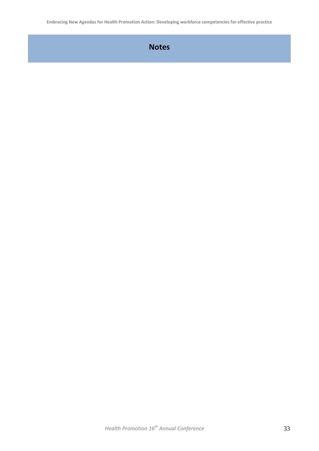**Embracing New Agendas for Health Promotion Action: Developing workforce competencies for effective practice**

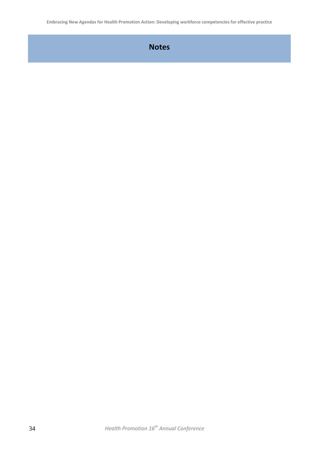**Embracing New Agendas for Health Promotion Action: Developing workforce competencies for effective practice**